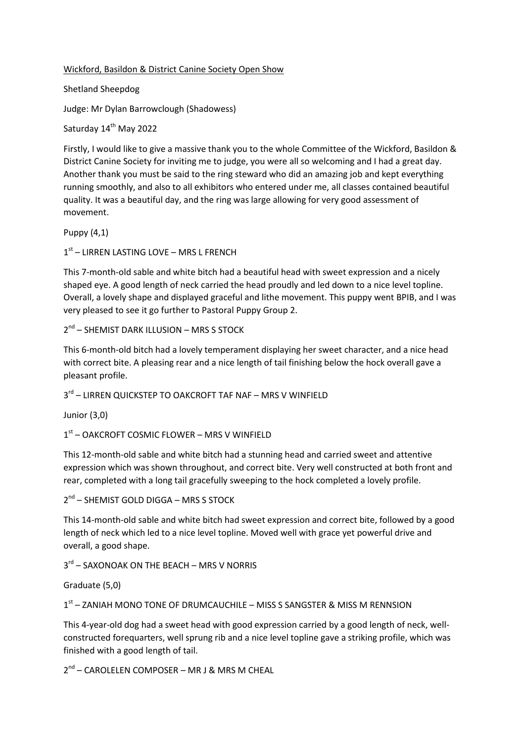## Wickford, Basildon & District Canine Society Open Show

Shetland Sheepdog

Judge: Mr Dylan Barrowclough (Shadowess)

Saturday 14<sup>th</sup> May 2022

Firstly, I would like to give a massive thank you to the whole Committee of the Wickford, Basildon & District Canine Society for inviting me to judge, you were all so welcoming and I had a great day. Another thank you must be said to the ring steward who did an amazing job and kept everything running smoothly, and also to all exhibitors who entered under me, all classes contained beautiful quality. It was a beautiful day, and the ring was large allowing for very good assessment of movement.

Puppy (4,1)

1 st – LIRREN LASTING LOVE – MRS L FRENCH

This 7-month-old sable and white bitch had a beautiful head with sweet expression and a nicely shaped eye. A good length of neck carried the head proudly and led down to a nice level topline. Overall, a lovely shape and displayed graceful and lithe movement. This puppy went BPIB, and I was very pleased to see it go further to Pastoral Puppy Group 2.

2<sup>nd</sup> – SHEMIST DARK ILLUSION – MRS S STOCK

This 6-month-old bitch had a lovely temperament displaying her sweet character, and a nice head with correct bite. A pleasing rear and a nice length of tail finishing below the hock overall gave a pleasant profile.

3<sup>rd</sup> – LIRREN QUICKSTEP TO OAKCROFT TAF NAF – MRS V WINFIELD

Junior (3,0)

1 st – OAKCROFT COSMIC FLOWER – MRS V WINFIELD

This 12-month-old sable and white bitch had a stunning head and carried sweet and attentive expression which was shown throughout, and correct bite. Very well constructed at both front and rear, completed with a long tail gracefully sweeping to the hock completed a lovely profile.

2<sup>nd</sup> – SHEMIST GOLD DIGGA – MRS S STOCK

This 14-month-old sable and white bitch had sweet expression and correct bite, followed by a good length of neck which led to a nice level topline. Moved well with grace yet powerful drive and overall, a good shape.

3<sup>rd</sup> – SAXONOAK ON THE BEACH – MRS V NORRIS

Graduate (5,0)

1<sup>st</sup> – ZANIAH MONO TONE OF DRUMCAUCHILE – MISS S SANGSTER & MISS M RENNSION

This 4-year-old dog had a sweet head with good expression carried by a good length of neck, wellconstructed forequarters, well sprung rib and a nice level topline gave a striking profile, which was finished with a good length of tail.

2<sup>nd</sup> – CAROLELEN COMPOSER – MR J & MRS M CHEAL